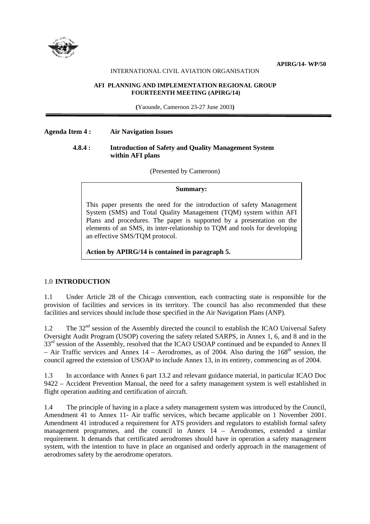

## INTERNATIONAL CIVIL AVIATION ORGANISATION

#### **AFI PLANNING AND IMPLEMENTATION REGIONAL GROUP FOURTEENTH MEETING (APIRG/14)**

**(**Yaounde, Cameroon 23-27 June 2003**)** 

## **Agenda Item 4 : Air Navigation Issues**

## **4.8.4 : Introduction of Safety and Quality Management System within AFI plans**

(Presented by Cameroon)

### **Summary:**

This paper presents the need for the introduction of safety Management System (SMS) and Total Quality Management (TQM) system within AFI Plans and procedures. The paper is supported by a presentation on the elements of an SMS, its inter-relationship to TQM and tools for developing an effective SMS/TQM protocol.

**Action by APIRG/14 is contained in paragraph 5.** 

## 1.0 **INTRODUCTION**

1.1 Under Article 28 of the Chicago convention, each contracting state is responsible for the provision of facilities and services in its territory. The council has also recommended that these facilities and services should include those specified in the Air Navigation Plans (ANP).

1.2 The  $32<sup>nd</sup>$  session of the Assembly directed the council to establish the ICAO Universal Safety Oversight Audit Program (USOP) covering the safety related SARPS, in Annex 1, 6, and 8 and in the 33<sup>rd</sup> session of the Assembly, resolved that the ICAO USOAP continued and be expanded to Annex II – Air Traffic services and Annex 14 – Aerodromes, as of 2004. Also during the  $168<sup>th</sup>$  session, the council agreed the extension of USOAP to include Annex 13, in its entirety, commencing as of 2004.

1.3 In accordance with Annex 6 part 13.2 and relevant guidance material, in particular ICAO Doc 9422 – Accident Prevention Manual, the need for a safety management system is well established in flight operation auditing and certification of aircraft.

1.4 The principle of having in a place a safety management system was introduced by the Council, Amendment 41 to Annex 11- Air traffic services, which became applicable on 1 November 2001. Amendment 41 introduced a requirement for ATS providers and regulators to establish formal safety management programmes, and the council in Annex 14 – Aerodromes, extended a similar requirement. It demands that certificated aerodromes should have in operation a safety management system, with the intention to have in place an organised and orderly approach in the management of aerodromes safety by the aerodrome operators.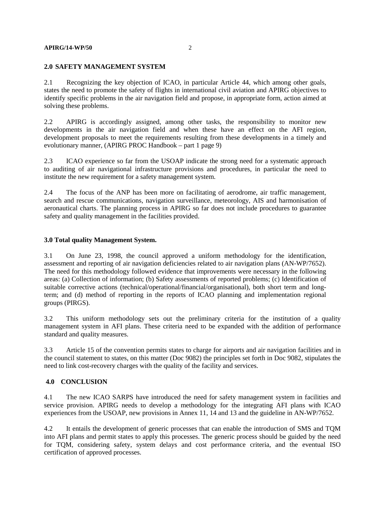#### **APIRG/14-WP/50** 2

### **2.0 SAFETY MANAGEMENT SYSTEM**

2.1 Recognizing the key objection of ICAO, in particular Article 44, which among other goals, states the need to promote the safety of flights in international civil aviation and APIRG objectives to identify specific problems in the air navigation field and propose, in appropriate form, action aimed at solving these problems.

2.2 APIRG is accordingly assigned, among other tasks, the responsibility to monitor new developments in the air navigation field and when these have an effect on the AFI region, development proposals to meet the requirements resulting from these developments in a timely and evolutionary manner, (APIRG PROC Handbook – part 1 page 9)

2.3 ICAO experience so far from the USOAP indicate the strong need for a systematic approach to auditing of air navigational infrastructure provisions and procedures, in particular the need to institute the new requirement for a safety management system.

2.4 The focus of the ANP has been more on facilitating of aerodrome, air traffic management, search and rescue communications, navigation surveillance, meteorology, AIS and harmonisation of aeronautical charts. The planning process in APIRG so far does not include procedures to guarantee safety and quality management in the facilities provided.

## **3.0 Total quality Management System.**

3.1 On June 23, 1998, the council approved a uniform methodology for the identification, assessment and reporting of air navigation deficiencies related to air navigation plans (AN-WP/7652). The need for this methodology followed evidence that improvements were necessary in the following areas: (a) Collection of information; (b) Safety assessments of reported problems; (c) Identification of suitable corrective actions (technical/operational/financial/organisational), both short term and longterm; and (d) method of reporting in the reports of ICAO planning and implementation regional groups (PIRGS).

3.2 This uniform methodology sets out the preliminary criteria for the institution of a quality management system in AFI plans. These criteria need to be expanded with the addition of performance standard and quality measures.

3.3 Article 15 of the convention permits states to charge for airports and air navigation facilities and in the council statement to states, on this matter (Doc 9082) the principles set forth in Doc 9082, stipulates the need to link cost-recovery charges with the quality of the facility and services.

## **4.0 CONCLUSION**

4.1 The new ICAO SARPS have introduced the need for safety management system in facilities and service provision. APIRG needs to develop a methodology for the integrating AFI plans with ICAO experiences from the USOAP, new provisions in Annex 11, 14 and 13 and the guideline in AN-WP/7652.

4.2 It entails the development of generic processes that can enable the introduction of SMS and TQM into AFI plans and permit states to apply this processes. The generic process should be guided by the need for TQM, considering safety, system delays and cost performance criteria, and the eventual ISO certification of approved processes.